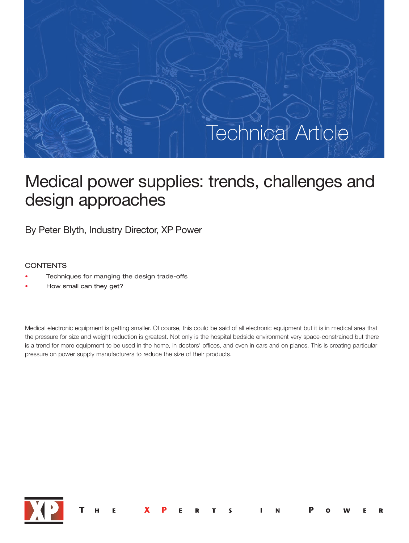# Technical Article Technical Article

# Medical power supplies: trends, challenges and design approaches

By Peter Blyth, Industry Director, XP Power

# **CONTENTS**

- Techniques for manging the design trade-offs
- How small can they get?

Medical electronic equipment is getting smaller. Of course, this could be said of all electronic equipment but it is in medical area that the pressure for size and weight reduction is greatest. Not only is the hospital bedside environment very space-constrained but there is a trend for more equipment to be used in the home, in doctors' offices, and even in cars and on planes. This is creating particular pressure on power supply manufacturers to reduce the size of their products.

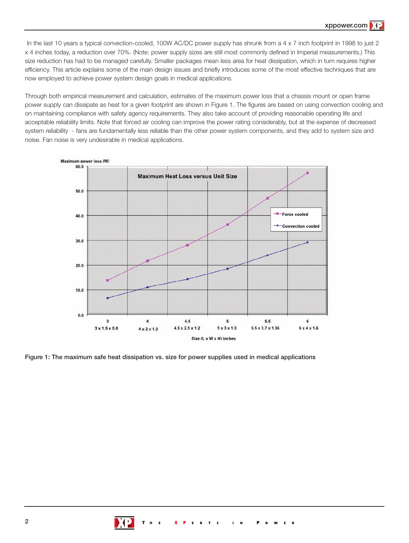In the last 10 years a typical convection-cooled, 100W AC/DC power supply has shrunk from a 4 x 7 inch footprint in 1998 to just 2 x 4 inches today, a reduction over 70%. (Note: power supply sizes are still most commonly defined in Imperial measurements.) This size reduction has had to be managed carefully. Smaller packages mean less area for heat dissipation, which in turn requires higher efficiency. This article explains some of the main design issues and briefly introduces some of the most effective techniques that are now employed to achieve power system design goals in medical applications.

Through both empirical measurement and calculation, estimates of the maximum power loss that a chassis mount or open frame power supply can dissipate as heat for a given footprint are shown in Figure 1. The figures are based on using convection cooling and on maintaining compliance with safety agency requirements. They also take account of providing reasonable operating life and acceptable reliability limits. Note that forced air cooling can improve the power rating considerably, but at the expense of decreased system reliability - fans are fundamentally less reliable than the other power system components, and they add to system size and noise. Fan noise is very undesirable in medical applications.



**Figure 1: The maximum safe heat dissipation vs. size for power supplies used in medical applications**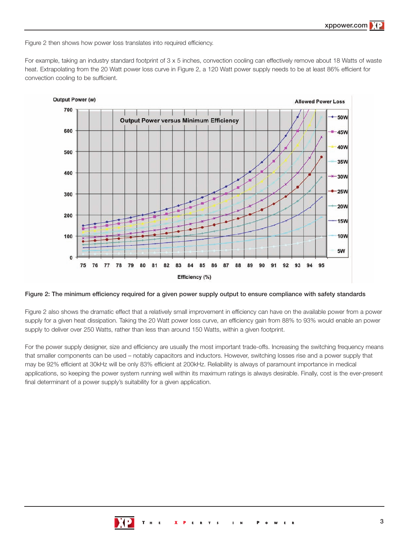Figure 2 then shows how power loss translates into required efficiency.

For example, taking an industry standard footprint of 3 x 5 inches, convection cooling can effectively remove about 18 Watts of waste heat. Extrapolating from the 20 Watt power loss curve in Figure 2, a 120 Watt power supply needs to be at least 86% efficient for convection cooling to be sufficient.



**Figure 2: The minimum efficiency required for a given power supply output to ensure compliance with safety standards**

Figure 2 also shows the dramatic effect that a relatively small improvement in efficiency can have on the available power from a power supply for a given heat dissipation. Taking the 20 Watt power loss curve, an efficiency gain from 88% to 93% would enable an power supply to deliver over 250 Watts, rather than less than around 150 Watts, within a given footprint.

For the power supply designer, size and efficiency are usually the most important trade-offs. Increasing the switching frequency means that smaller components can be used – notably capacitors and inductors. However, switching losses rise and a power supply that may be 92% efficient at 30kHz will be only 83% efficient at 200kHz. Reliability is always of paramount importance in medical applications, so keeping the power system running well within its maximum ratings is always desirable. Finally, cost is the ever-present final determinant of a power supply's suitability for a given application.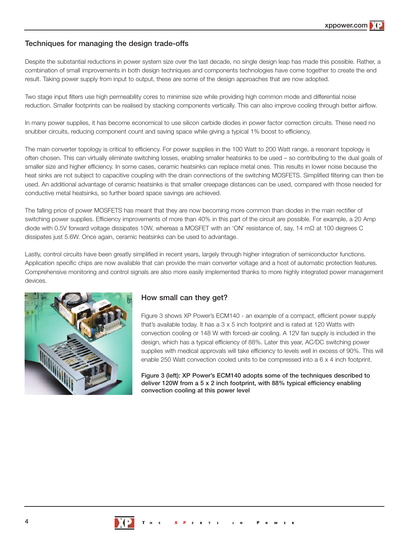# **Techniques for managing the design trade-offs**

Despite the substantial reductions in power system size over the last decade, no single design leap has made this possible. Rather, a combination of small improvements in both design techniques and components technologies have come together to create the end result. Taking power supply from input to output, these are some of the design approaches that are now adopted.

Two stage input filters use high permeability cores to minimise size while providing high common mode and differential noise reduction. Smaller footprints can be realised by stacking components vertically. This can also improve cooling through better airflow.

In many power supplies, it has become economical to use silicon carbide diodes in power factor correction circuits. These need no snubber circuits, reducing component count and saving space while giving a typical 1% boost to efficiency.

The main converter topology is critical to efficiency. For power supplies in the 100 Watt to 200 Watt range, a resonant topology is often chosen. This can virtually eliminate switching losses, enabling smaller heatsinks to be used – so contributing to the dual goals of smaller size and higher efficiency. In some cases, ceramic heatsinks can replace metal ones. This results in lower noise because the heat sinks are not subject to capacitive coupling with the drain connections of the switching MOSFETS. Simplified filtering can then be used. An additional advantage of ceramic heatsinks is that smaller creepage distances can be used, compared with those needed for conductive metal heatsinks, so further board space savings are achieved.

The falling price of power MOSFETS has meant that they are now becoming more common than diodes in the main rectifier of switching power supplies. Efficiency improvements of more than 40% in this part of the circuit are possible. For example, a 20 Amp diode with 0.5V forward voltage dissipates 10W, whereas a MOSFET with an 'ON' resistance of, say, 14 mΩ at 100 degrees C dissipates just 5.6W. Once again, ceramic heatsinks can be used to advantage.

Lastly, control circuits have been greatly simplified in recent years, largely through higher integration of semiconductor functions. Application specific chips are now available that can provide the main converter voltage and a host of automatic protection features. Comprehensive monitoring and control signals are also more easily implemented thanks to more highly integrated power management devices.



## **How small can they get?**

Figure 3 shows XP Power's ECM140 - an example of a compact, efficient power supply that's available today. It has a 3 x 5 inch footprint and is rated at 120 Watts with convection cooling or 148 W with forced-air cooling. A 12V fan supply is included in the design, which has a typical efficiency of 88%. Later this year, AC/DC switching power supplies with medical approvals will take efficiency to levels well in excess of 90%. This will enable 250 Watt convection cooled units to be compressed into a 6 x 4 inch footprint.

**Figure 3 (left): XP Power's ECM140 adopts some of the techniques described to deliver 120W from a 5 x 2 inch footprint, with 88% typical efficiency enabling convection cooling at this power level**